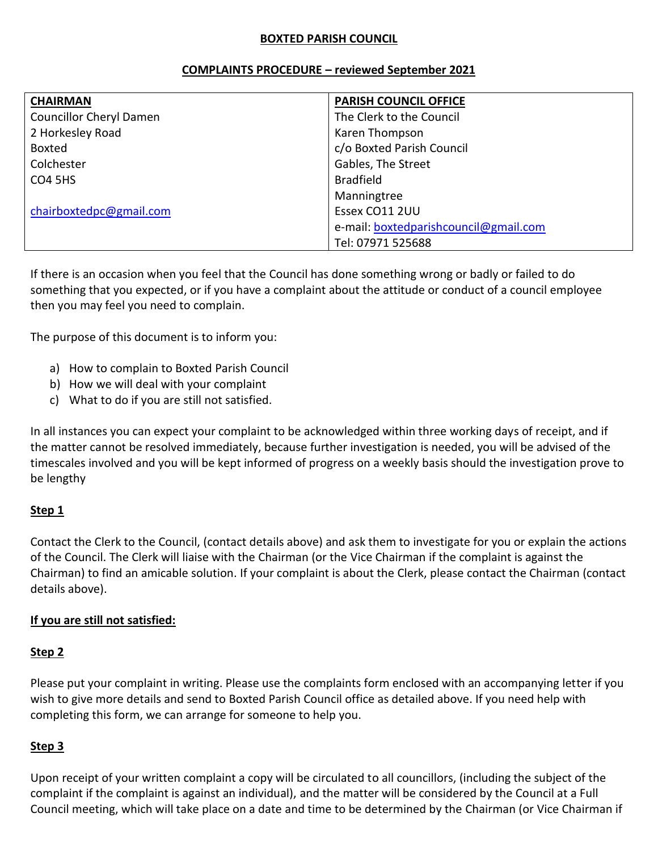#### **BOXTED PARISH COUNCIL**

## **COMPLAINTS PROCEDURE – reviewed September 2021**

| <b>CHAIRMAN</b>                | <b>PARISH COUNCIL OFFICE</b>          |
|--------------------------------|---------------------------------------|
| <b>Councillor Cheryl Damen</b> | The Clerk to the Council              |
| 2 Horkesley Road               | Karen Thompson                        |
| Boxted                         | c/o Boxted Parish Council             |
| Colchester                     | Gables, The Street                    |
| CO <sub>4</sub> 5HS            | <b>Bradfield</b>                      |
|                                | Manningtree                           |
| chairboxtedpc@gmail.com        | Essex CO11 2UU                        |
|                                | e-mail: boxtedparishcouncil@gmail.com |
|                                | Tel: 07971 525688                     |

If there is an occasion when you feel that the Council has done something wrong or badly or failed to do something that you expected, or if you have a complaint about the attitude or conduct of a council employee then you may feel you need to complain.

The purpose of this document is to inform you:

- a) How to complain to Boxted Parish Council
- b) How we will deal with your complaint
- c) What to do if you are still not satisfied.

In all instances you can expect your complaint to be acknowledged within three working days of receipt, and if the matter cannot be resolved immediately, because further investigation is needed, you will be advised of the timescales involved and you will be kept informed of progress on a weekly basis should the investigation prove to be lengthy

#### **Step 1**

Contact the Clerk to the Council, (contact details above) and ask them to investigate for you or explain the actions of the Council. The Clerk will liaise with the Chairman (or the Vice Chairman if the complaint is against the Chairman) to find an amicable solution. If your complaint is about the Clerk, please contact the Chairman (contact details above).

#### **If you are still not satisfied:**

#### **Step 2**

Please put your complaint in writing. Please use the complaints form enclosed with an accompanying letter if you wish to give more details and send to Boxted Parish Council office as detailed above. If you need help with completing this form, we can arrange for someone to help you.

# **Step 3**

Upon receipt of your written complaint a copy will be circulated to all councillors, (including the subject of the complaint if the complaint is against an individual), and the matter will be considered by the Council at a Full Council meeting, which will take place on a date and time to be determined by the Chairman (or Vice Chairman if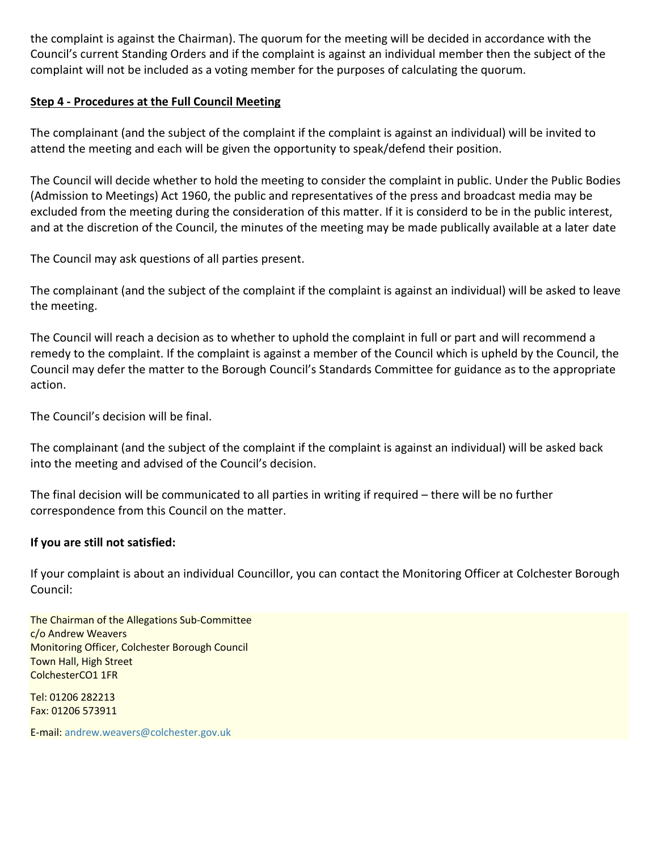the complaint is against the Chairman). The quorum for the meeting will be decided in accordance with the Council's current Standing Orders and if the complaint is against an individual member then the subject of the complaint will not be included as a voting member for the purposes of calculating the quorum.

# **Step 4 - Procedures at the Full Council Meeting**

The complainant (and the subject of the complaint if the complaint is against an individual) will be invited to attend the meeting and each will be given the opportunity to speak/defend their position.

The Council will decide whether to hold the meeting to consider the complaint in public. Under the Public Bodies (Admission to Meetings) Act 1960, the public and representatives of the press and broadcast media may be excluded from the meeting during the consideration of this matter. If it is considerd to be in the public interest, and at the discretion of the Council, the minutes of the meeting may be made publically available at a later date

The Council may ask questions of all parties present.

The complainant (and the subject of the complaint if the complaint is against an individual) will be asked to leave the meeting.

The Council will reach a decision as to whether to uphold the complaint in full or part and will recommend a remedy to the complaint. If the complaint is against a member of the Council which is upheld by the Council, the Council may defer the matter to the Borough Council's Standards Committee for guidance as to the appropriate action.

The Council's decision will be final.

The complainant (and the subject of the complaint if the complaint is against an individual) will be asked back into the meeting and advised of the Council's decision.

The final decision will be communicated to all parties in writing if required – there will be no further correspondence from this Council on the matter.

#### **If you are still not satisfied:**

If your complaint is about an individual Councillor, you can contact the Monitoring Officer at Colchester Borough Council:

The Chairman of the Allegations Sub-Committee c/o Andrew Weavers Monitoring Officer, Colchester Borough Council Town Hall, High Street ColchesterCO1 1FR

Tel: 01206 282213 Fax: 01206 573911

E-mail: [andrew.weavers@colchester.gov.uk](mailto:andrew.weavers@colchester.gov.uk)